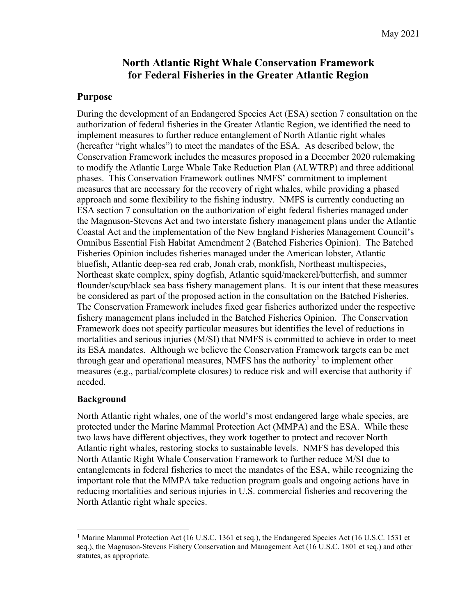# **North Atlantic Right Whale Conservation Framework for Federal Fisheries in the Greater Atlantic Region**

### **Purpose**

During the development of an Endangered Species Act (ESA) section 7 consultation on the authorization of federal fisheries in the Greater Atlantic Region, we identified the need to implement measures to further reduce entanglement of North Atlantic right whales (hereafter "right whales") to meet the mandates of the ESA. As described below, the Conservation Framework includes the measures proposed in a December 2020 rulemaking to modify the Atlantic Large Whale Take Reduction Plan (ALWTRP) and three additional phases. This Conservation Framework outlines NMFS' commitment to implement measures that are necessary for the recovery of right whales, while providing a phased approach and some flexibility to the fishing industry. NMFS is currently conducting an ESA section 7 consultation on the authorization of eight federal fisheries managed under the Magnuson-Stevens Act and two interstate fishery management plans under the Atlantic Coastal Act and the implementation of the New England Fisheries Management Council's Omnibus Essential Fish Habitat Amendment 2 (Batched Fisheries Opinion). The Batched Fisheries Opinion includes fisheries managed under the American lobster, Atlantic bluefish, Atlantic deep-sea red crab, Jonah crab, monkfish, Northeast multispecies, Northeast skate complex, spiny dogfish, Atlantic squid/mackerel/butterfish, and summer flounder/scup/black sea bass fishery management plans. It is our intent that these measures be considered as part of the proposed action in the consultation on the Batched Fisheries. The Conservation Framework includes fixed gear fisheries authorized under the respective fishery management plans included in the Batched Fisheries Opinion. The Conservation Framework does not specify particular measures but identifies the level of reductions in mortalities and serious injuries (M/SI) that NMFS is committed to achieve in order to meet its ESA mandates. Although we believe the Conservation Framework targets can be met through gear and operational measures, NMFS has the authority<sup>[1](#page-0-0)</sup> to implement other measures (e.g., partial/complete closures) to reduce risk and will exercise that authority if needed.

### **Background**

North Atlantic right whales, one of the world's most endangered large whale species, are protected under the Marine Mammal Protection Act (MMPA) and the ESA. While these two laws have different objectives, they work together to protect and recover North Atlantic right whales, restoring stocks to sustainable levels. NMFS has developed this North Atlantic Right Whale Conservation Framework to further reduce M/SI due to entanglements in federal fisheries to meet the mandates of the ESA, while recognizing the important role that the MMPA take reduction program goals and ongoing actions have in reducing mortalities and serious injuries in U.S. commercial fisheries and recovering the North Atlantic right whale species.

<span id="page-0-0"></span> <sup>1</sup> Marine Mammal Protection Act (16 U.S.C. 1361 et seq.), the Endangered Species Act (16 U.S.C. 1531 et seq.), the Magnuson-Stevens Fishery Conservation and Management Act (16 U.S.C. 1801 et seq.) and other statutes, as appropriate.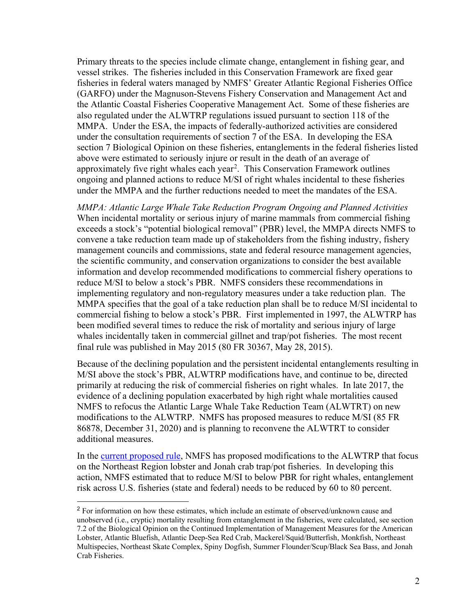Primary threats to the species include climate change, entanglement in fishing gear, and vessel strikes. The fisheries included in this Conservation Framework are fixed gear fisheries in federal waters managed by NMFS' Greater Atlantic Regional Fisheries Office (GARFO) under the Magnuson-Stevens Fishery Conservation and Management Act and the Atlantic Coastal Fisheries Cooperative Management Act. Some of these fisheries are also regulated under the ALWTRP regulations issued pursuant to section 118 of the MMPA. Under the ESA, the impacts of federally-authorized activities are considered under the consultation requirements of section 7 of the ESA. In developing the ESA section 7 Biological Opinion on these fisheries, entanglements in the federal fisheries listed above were estimated to seriously injure or result in the death of an average of approximately five right whales each year<sup>[2](#page-1-0)</sup>. This Conservation Framework outlines ongoing and planned actions to reduce M/SI of right whales incidental to these fisheries under the MMPA and the further reductions needed to meet the mandates of the ESA.

*MMPA: Atlantic Large Whale Take Reduction Program Ongoing and Planned Activities* When incidental mortality or serious injury of marine mammals from commercial fishing exceeds a stock's "potential biological removal" (PBR) level, the MMPA directs NMFS to convene a take reduction team made up of stakeholders from the fishing industry, fishery management councils and commissions, state and federal resource management agencies, the scientific community, and conservation organizations to consider the best available information and develop recommended modifications to commercial fishery operations to reduce M/SI to below a stock's PBR. NMFS considers these recommendations in implementing regulatory and non-regulatory measures under a take reduction plan. The MMPA specifies that the goal of a take reduction plan shall be to reduce M/SI incidental to commercial fishing to below a stock's PBR. First implemented in 1997, the ALWTRP has been modified several times to reduce the risk of mortality and serious injury of large whales incidentally taken in commercial gillnet and trap/pot fisheries. The most recent final rule was published in May 2015 (80 FR 30367, May 28, 2015).

Because of the declining population and the persistent incidental entanglements resulting in M/SI above the stock's PBR, ALWTRP modifications have, and continue to be, directed primarily at reducing the risk of commercial fisheries on right whales. In late 2017, the evidence of a declining population exacerbated by high right whale mortalities caused NMFS to refocus the Atlantic Large Whale Take Reduction Team (ALWTRT) on new modifications to the ALWTRP. NMFS has proposed measures to reduce M/SI (85 FR 86878, December 31, 2020) and is planning to reconvene the ALWTRT to consider additional measures.

In the [current proposed rule,](https://www.fisheries.noaa.gov/new-england-mid-atlantic/marine-mammal-protection/atlantic-large-whale-take-reduction-plan) NMFS has proposed modifications to the ALWTRP that focus on the Northeast Region lobster and Jonah crab trap/pot fisheries. In developing this action, NMFS estimated that to reduce M/SI to below PBR for right whales, entanglement risk across U.S. fisheries (state and federal) needs to be reduced by 60 to 80 percent.

<span id="page-1-0"></span> <sup>2</sup> For information on how these estimates, which include an estimate of observed/unknown cause and unobserved (i.e., cryptic) mortality resulting from entanglement in the fisheries, were calculated, see section 7.2 of the Biological Opinion on the Continued Implementation of Management Measures for the American Lobster, Atlantic Bluefish, Atlantic Deep-Sea Red Crab, Mackerel/Squid/Butterfish, Monkfish, Northeast Multispecies, Northeast Skate Complex, Spiny Dogfish, Summer Flounder/Scup/Black Sea Bass, and Jonah Crab Fisheries.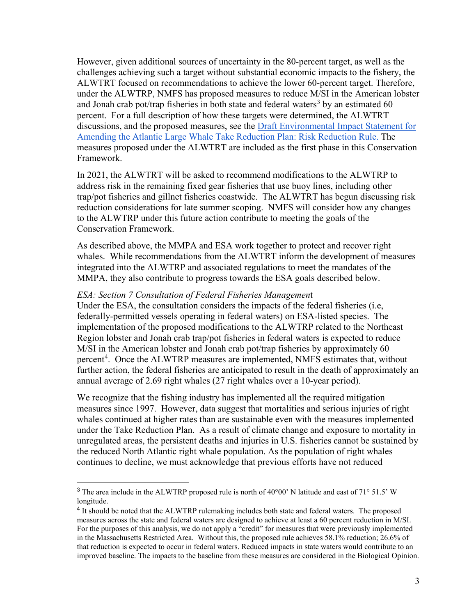However, given additional sources of uncertainty in the 80-percent target, as well as the challenges achieving such a target without substantial economic impacts to the fishery, the ALWTRT focused on recommendations to achieve the lower 60-percent target. Therefore, under the ALWTRP, NMFS has proposed measures to reduce M/SI in the American lobster and Jonah crab pot/trap fisheries in both state and federal waters<sup>[3](#page-2-0)</sup> by an estimated 60 percent. For a full description of how these targets were determined, the ALWTRT discussions, and the proposed measures, see the [Draft Environmental Impact Statement for](https://www.fisheries.noaa.gov/resource/document/draft-environmental-impact-statement-alwtrp-risk-reduction-rule?utm_medium=email&utm_source=govdelivery)  [Amending the Atlantic Large Whale Take Reduction Plan: Risk Reduction Rule.](https://www.fisheries.noaa.gov/resource/document/draft-environmental-impact-statement-alwtrp-risk-reduction-rule?utm_medium=email&utm_source=govdelivery) The measures proposed under the ALWTRT are included as the first phase in this Conservation Framework.

In 2021, the ALWTRT will be asked to recommend modifications to the ALWTRP to address risk in the remaining fixed gear fisheries that use buoy lines, including other trap/pot fisheries and gillnet fisheries coastwide. The ALWTRT has begun discussing risk reduction considerations for late summer scoping. NMFS will consider how any changes to the ALWTRP under this future action contribute to meeting the goals of the Conservation Framework.

As described above, the MMPA and ESA work together to protect and recover right whales. While recommendations from the ALWTRT inform the development of measures integrated into the ALWTRP and associated regulations to meet the mandates of the MMPA, they also contribute to progress towards the ESA goals described below.

### *ESA: Section 7 Consultation of Federal Fisheries Managemen*t

Under the ESA, the consultation considers the impacts of the federal fisheries (i.e, federally-permitted vessels operating in federal waters) on ESA-listed species. The implementation of the proposed modifications to the ALWTRP related to the Northeast Region lobster and Jonah crab trap/pot fisheries in federal waters is expected to reduce M/SI in the American lobster and Jonah crab pot/trap fisheries by approximately 60 percent<sup>[4](#page-2-1)</sup>. Once the ALWTRP measures are implemented, NMFS estimates that, without further action, the federal fisheries are anticipated to result in the death of approximately an annual average of 2.69 right whales (27 right whales over a 10-year period).

We recognize that the fishing industry has implemented all the required mitigation measures since 1997. However, data suggest that mortalities and serious injuries of right whales continued at higher rates than are sustainable even with the measures implemented under the Take Reduction Plan. As a result of climate change and exposure to mortality in unregulated areas, the persistent deaths and injuries in U.S. fisheries cannot be sustained by the reduced North Atlantic right whale population. As the population of right whales continues to decline, we must acknowledge that previous efforts have not reduced

<span id="page-2-0"></span> <sup>3</sup> The area include in the ALWTRP proposed rule is north of 40°00' N latitude and east of 71° 51.5' W longitude.

<span id="page-2-1"></span><sup>4</sup> It should be noted that the ALWTRP rulemaking includes both state and federal waters. The proposed measures across the state and federal waters are designed to achieve at least a 60 percent reduction in M/SI. For the purposes of this analysis, we do not apply a "credit" for measures that were previously implemented in the Massachusetts Restricted Area. Without this, the proposed rule achieves 58.1% reduction; 26.6% of that reduction is expected to occur in federal waters. Reduced impacts in state waters would contribute to an improved baseline. The impacts to the baseline from these measures are considered in the Biological Opinion.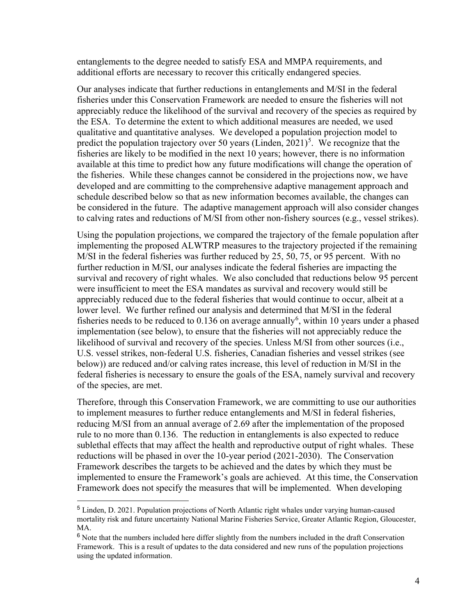entanglements to the degree needed to satisfy ESA and MMPA requirements, and additional efforts are necessary to recover this critically endangered species.

Our analyses indicate that further reductions in entanglements and M/SI in the federal fisheries under this Conservation Framework are needed to ensure the fisheries will not appreciably reduce the likelihood of the survival and recovery of the species as required by the ESA. To determine the extent to which additional measures are needed, we used qualitative and quantitative analyses. We developed a population projection model to predict the population trajectory over [5](#page-3-0)0 years (Linden,  $2021$ )<sup>5</sup>. We recognize that the fisheries are likely to be modified in the next 10 years; however, there is no information available at this time to predict how any future modifications will change the operation of the fisheries. While these changes cannot be considered in the projections now, we have developed and are committing to the comprehensive adaptive management approach and schedule described below so that as new information becomes available, the changes can be considered in the future. The adaptive management approach will also consider changes to calving rates and reductions of M/SI from other non-fishery sources (e.g., vessel strikes).

Using the population projections, we compared the trajectory of the female population after implementing the proposed ALWTRP measures to the trajectory projected if the remaining M/SI in the federal fisheries was further reduced by 25, 50, 75, or 95 percent. With no further reduction in M/SI, our analyses indicate the federal fisheries are impacting the survival and recovery of right whales. We also concluded that reductions below 95 percent were insufficient to meet the ESA mandates as survival and recovery would still be appreciably reduced due to the federal fisheries that would continue to occur, albeit at a lower level. We further refined our analysis and determined that M/SI in the federal fisheries needs to be reduced to  $0.136$  $0.136$  on average annually<sup>6</sup>, within 10 years under a phased implementation (see below), to ensure that the fisheries will not appreciably reduce the likelihood of survival and recovery of the species. Unless M/SI from other sources (i.e., U.S. vessel strikes, non-federal U.S. fisheries, Canadian fisheries and vessel strikes (see below)) are reduced and/or calving rates increase, this level of reduction in M/SI in the federal fisheries is necessary to ensure the goals of the ESA, namely survival and recovery of the species, are met.

Therefore, through this Conservation Framework, we are committing to use our authorities to implement measures to further reduce entanglements and M/SI in federal fisheries, reducing M/SI from an annual average of 2.69 after the implementation of the proposed rule to no more than 0.136. The reduction in entanglements is also expected to reduce sublethal effects that may affect the health and reproductive output of right whales. These reductions will be phased in over the 10-year period (2021-2030). The Conservation Framework describes the targets to be achieved and the dates by which they must be implemented to ensure the Framework's goals are achieved. At this time, the Conservation Framework does not specify the measures that will be implemented. When developing

<span id="page-3-0"></span> <sup>5</sup> Linden, D. 2021. Population projections of North Atlantic right whales under varying human-caused mortality risk and future uncertainty National Marine Fisheries Service, Greater Atlantic Region, Gloucester, MA.

<span id="page-3-1"></span><sup>&</sup>lt;sup>6</sup> Note that the numbers included here differ slightly from the numbers included in the draft Conservation Framework. This is a result of updates to the data considered and new runs of the population projections using the updated information.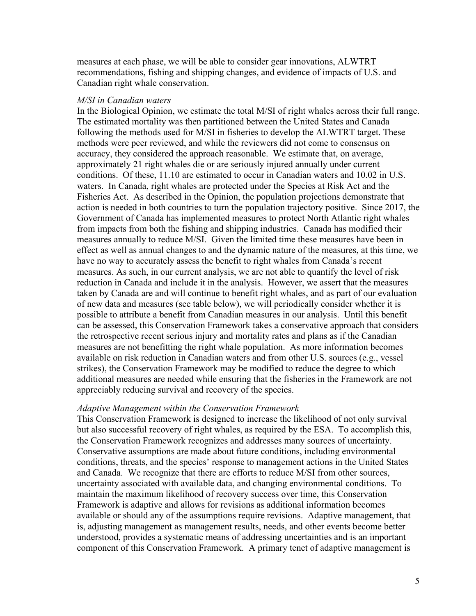measures at each phase, we will be able to consider gear innovations, ALWTRT recommendations, fishing and shipping changes, and evidence of impacts of U.S. and Canadian right whale conservation.

#### *M/SI in Canadian waters*

In the Biological Opinion, we estimate the total M/SI of right whales across their full range. The estimated mortality was then partitioned between the United States and Canada following the methods used for M/SI in fisheries to develop the ALWTRT target. These methods were peer reviewed, and while the reviewers did not come to consensus on accuracy, they considered the approach reasonable. We estimate that, on average, approximately 21 right whales die or are seriously injured annually under current conditions. Of these, 11.10 are estimated to occur in Canadian waters and 10.02 in U.S. waters. In Canada, right whales are protected under the Species at Risk Act and the Fisheries Act. As described in the Opinion, the population projections demonstrate that action is needed in both countries to turn the population trajectory positive. Since 2017, the Government of Canada has implemented measures to protect North Atlantic right whales from impacts from both the fishing and shipping industries. Canada has modified their measures annually to reduce M/SI. Given the limited time these measures have been in effect as well as annual changes to and the dynamic nature of the measures, at this time, we have no way to accurately assess the benefit to right whales from Canada's recent measures. As such, in our current analysis, we are not able to quantify the level of risk reduction in Canada and include it in the analysis. However, we assert that the measures taken by Canada are and will continue to benefit right whales, and as part of our evaluation of new data and measures (see table below), we will periodically consider whether it is possible to attribute a benefit from Canadian measures in our analysis. Until this benefit can be assessed, this Conservation Framework takes a conservative approach that considers the retrospective recent serious injury and mortality rates and plans as if the Canadian measures are not benefitting the right whale population. As more information becomes available on risk reduction in Canadian waters and from other U.S. sources (e.g., vessel strikes), the Conservation Framework may be modified to reduce the degree to which additional measures are needed while ensuring that the fisheries in the Framework are not appreciably reducing survival and recovery of the species.

### *Adaptive Management within the Conservation Framework*

This Conservation Framework is designed to increase the likelihood of not only survival but also successful recovery of right whales, as required by the ESA. To accomplish this, the Conservation Framework recognizes and addresses many sources of uncertainty. Conservative assumptions are made about future conditions, including environmental conditions, threats, and the species' response to management actions in the United States and Canada. We recognize that there are efforts to reduce M/SI from other sources, uncertainty associated with available data, and changing environmental conditions. To maintain the maximum likelihood of recovery success over time, this Conservation Framework is adaptive and allows for revisions as additional information becomes available or should any of the assumptions require revisions. Adaptive management, that is, adjusting management as management results, needs, and other events become better understood, provides a systematic means of addressing uncertainties and is an important component of this Conservation Framework. A primary tenet of adaptive management is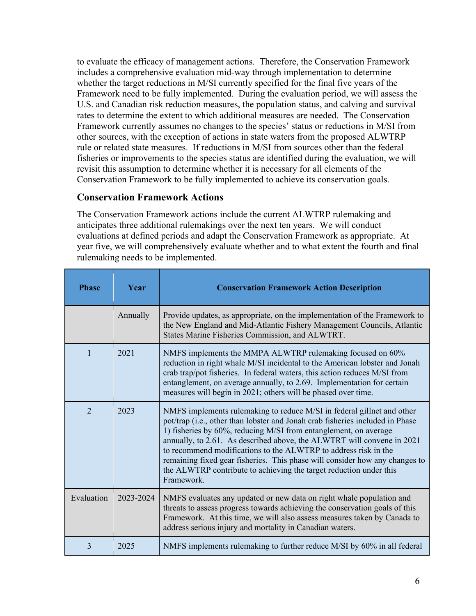to evaluate the efficacy of management actions. Therefore, the Conservation Framework includes a comprehensive evaluation mid-way through implementation to determine whether the target reductions in M/SI currently specified for the final five years of the Framework need to be fully implemented. During the evaluation period, we will assess the U.S. and Canadian risk reduction measures, the population status, and calving and survival rates to determine the extent to which additional measures are needed. The Conservation Framework currently assumes no changes to the species' status or reductions in M/SI from other sources, with the exception of actions in state waters from the proposed ALWTRP rule or related state measures. If reductions in M/SI from sources other than the federal fisheries or improvements to the species status are identified during the evaluation, we will revisit this assumption to determine whether it is necessary for all elements of the Conservation Framework to be fully implemented to achieve its conservation goals.

# **Conservation Framework Actions**

The Conservation Framework actions include the current ALWTRP rulemaking and anticipates three additional rulemakings over the next ten years. We will conduct evaluations at defined periods and adapt the Conservation Framework as appropriate. At year five, we will comprehensively evaluate whether and to what extent the fourth and final rulemaking needs to be implemented.

| <b>Phase</b>   | Year      | <b>Conservation Framework Action Description</b>                                                                                                                                                                                                                                                                                                                                                                                                                                                                                            |
|----------------|-----------|---------------------------------------------------------------------------------------------------------------------------------------------------------------------------------------------------------------------------------------------------------------------------------------------------------------------------------------------------------------------------------------------------------------------------------------------------------------------------------------------------------------------------------------------|
|                | Annually  | Provide updates, as appropriate, on the implementation of the Framework to<br>the New England and Mid-Atlantic Fishery Management Councils, Atlantic<br>States Marine Fisheries Commission, and ALWTRT.                                                                                                                                                                                                                                                                                                                                     |
| 1              | 2021      | NMFS implements the MMPA ALWTRP rulemaking focused on 60%<br>reduction in right whale M/SI incidental to the American lobster and Jonah<br>crab trap/pot fisheries. In federal waters, this action reduces M/SI from<br>entanglement, on average annually, to 2.69. Implementation for certain<br>measures will begin in 2021; others will be phased over time.                                                                                                                                                                             |
| $\overline{2}$ | 2023      | NMFS implements rulemaking to reduce M/SI in federal gillnet and other<br>pot/trap (i.e., other than lobster and Jonah crab fisheries included in Phase<br>1) fisheries by 60%, reducing M/SI from entanglement, on average<br>annually, to 2.61. As described above, the ALWTRT will convene in 2021<br>to recommend modifications to the ALWTRP to address risk in the<br>remaining fixed gear fisheries. This phase will consider how any changes to<br>the ALWTRP contribute to achieving the target reduction under this<br>Framework. |
| Evaluation     | 2023-2024 | NMFS evaluates any updated or new data on right whale population and<br>threats to assess progress towards achieving the conservation goals of this<br>Framework. At this time, we will also assess measures taken by Canada to<br>address serious injury and mortality in Canadian waters.                                                                                                                                                                                                                                                 |
| 3              | 2025      | NMFS implements rulemaking to further reduce M/SI by 60% in all federal                                                                                                                                                                                                                                                                                                                                                                                                                                                                     |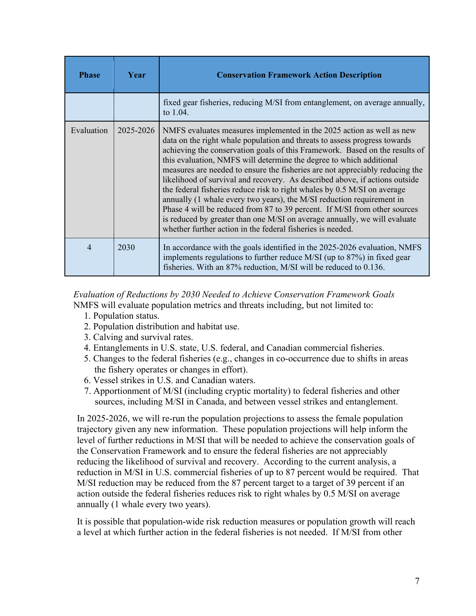| <b>Phase</b> | <b>Year</b> | <b>Conservation Framework Action Description</b>                                                                                                                                                                                                                                                                                                                                                                                                                                                                                                                                                                                                                                                                                                                                                                                                     |
|--------------|-------------|------------------------------------------------------------------------------------------------------------------------------------------------------------------------------------------------------------------------------------------------------------------------------------------------------------------------------------------------------------------------------------------------------------------------------------------------------------------------------------------------------------------------------------------------------------------------------------------------------------------------------------------------------------------------------------------------------------------------------------------------------------------------------------------------------------------------------------------------------|
|              |             | fixed gear fisheries, reducing M/SI from entanglement, on average annually,<br>to 1.04.                                                                                                                                                                                                                                                                                                                                                                                                                                                                                                                                                                                                                                                                                                                                                              |
| Evaluation   | 2025-2026   | NMFS evaluates measures implemented in the 2025 action as well as new<br>data on the right whale population and threats to assess progress towards<br>achieving the conservation goals of this Framework. Based on the results of<br>this evaluation, NMFS will determine the degree to which additional<br>measures are needed to ensure the fisheries are not appreciably reducing the<br>likelihood of survival and recovery. As described above, if actions outside<br>the federal fisheries reduce risk to right whales by 0.5 M/SI on average<br>annually (1 whale every two years), the M/SI reduction requirement in<br>Phase 4 will be reduced from 87 to 39 percent. If M/SI from other sources<br>is reduced by greater than one M/SI on average annually, we will evaluate<br>whether further action in the federal fisheries is needed. |
| 4            | 2030        | In accordance with the goals identified in the 2025-2026 evaluation, NMFS<br>implements regulations to further reduce M/SI (up to $87\%$ ) in fixed gear<br>fisheries. With an 87% reduction, M/SI will be reduced to 0.136.                                                                                                                                                                                                                                                                                                                                                                                                                                                                                                                                                                                                                         |

*Evaluation of Reductions by 2030 Needed to Achieve Conservation Framework Goals* NMFS will evaluate population metrics and threats including, but not limited to:

- 1. Population status.
- 2. Population distribution and habitat use.
- 3. Calving and survival rates.
- 4. Entanglements in U.S. state, U.S. federal, and Canadian commercial fisheries.
- 5. Changes to the federal fisheries (e.g., changes in co-occurrence due to shifts in areas the fishery operates or changes in effort).
- 6. Vessel strikes in U.S. and Canadian waters.
- 7. Apportionment of M/SI (including cryptic mortality) to federal fisheries and other sources, including M/SI in Canada, and between vessel strikes and entanglement.

In 2025-2026, we will re-run the population projections to assess the female population trajectory given any new information. These population projections will help inform the level of further reductions in M/SI that will be needed to achieve the conservation goals of the Conservation Framework and to ensure the federal fisheries are not appreciably reducing the likelihood of survival and recovery. According to the current analysis, a reduction in M/SI in U.S. commercial fisheries of up to 87 percent would be required. That M/SI reduction may be reduced from the 87 percent target to a target of 39 percent if an action outside the federal fisheries reduces risk to right whales by 0.5 M/SI on average annually (1 whale every two years).

It is possible that population-wide risk reduction measures or population growth will reach a level at which further action in the federal fisheries is not needed. If M/SI from other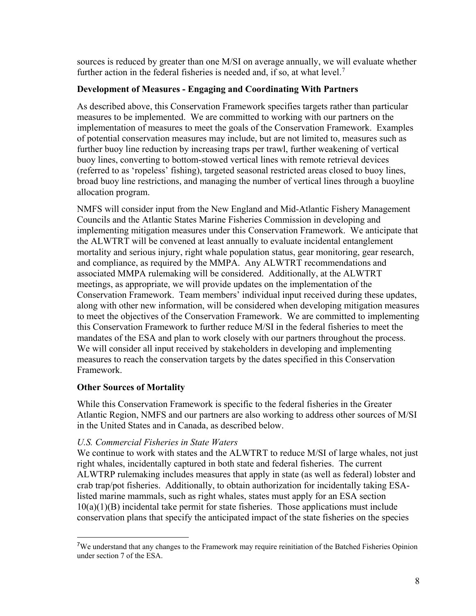sources is reduced by greater than one M/SI on average annually, we will evaluate whether further action in the federal fisheries is needed and, if so, at what level.<sup>[7](#page-7-0)</sup>

### **Development of Measures - Engaging and Coordinating With Partners**

As described above, this Conservation Framework specifies targets rather than particular measures to be implemented. We are committed to working with our partners on the implementation of measures to meet the goals of the Conservation Framework. Examples of potential conservation measures may include, but are not limited to, measures such as further buoy line reduction by increasing traps per trawl, further weakening of vertical buoy lines, converting to bottom-stowed vertical lines with remote retrieval devices (referred to as 'ropeless' fishing), targeted seasonal restricted areas closed to buoy lines, broad buoy line restrictions, and managing the number of vertical lines through a buoyline allocation program.

NMFS will consider input from the New England and Mid-Atlantic Fishery Management Councils and the Atlantic States Marine Fisheries Commission in developing and implementing mitigation measures under this Conservation Framework. We anticipate that the ALWTRT will be convened at least annually to evaluate incidental entanglement mortality and serious injury, right whale population status, gear monitoring, gear research, and compliance, as required by the MMPA. Any ALWTRT recommendations and associated MMPA rulemaking will be considered. Additionally, at the ALWTRT meetings, as appropriate, we will provide updates on the implementation of the Conservation Framework. Team members' individual input received during these updates, along with other new information, will be considered when developing mitigation measures to meet the objectives of the Conservation Framework. We are committed to implementing this Conservation Framework to further reduce M/SI in the federal fisheries to meet the mandates of the ESA and plan to work closely with our partners throughout the process. We will consider all input received by stakeholders in developing and implementing measures to reach the conservation targets by the dates specified in this Conservation Framework.

# **Other Sources of Mortality**

While this Conservation Framework is specific to the federal fisheries in the Greater Atlantic Region, NMFS and our partners are also working to address other sources of M/SI in the United States and in Canada, as described below.

### *U.S. Commercial Fisheries in State Waters*

We continue to work with states and the ALWTRT to reduce M/SI of large whales, not just right whales, incidentally captured in both state and federal fisheries. The current ALWTRP rulemaking includes measures that apply in state (as well as federal) lobster and crab trap/pot fisheries. Additionally, to obtain authorization for incidentally taking ESAlisted marine mammals, such as right whales, states must apply for an ESA section  $10(a)(1)(B)$  incidental take permit for state fisheries. Those applications must include conservation plans that specify the anticipated impact of the state fisheries on the species

<span id="page-7-0"></span> <sup>7</sup>We understand that any changes to the Framework may require reinitiation of the Batched Fisheries Opinion under section 7 of the ESA.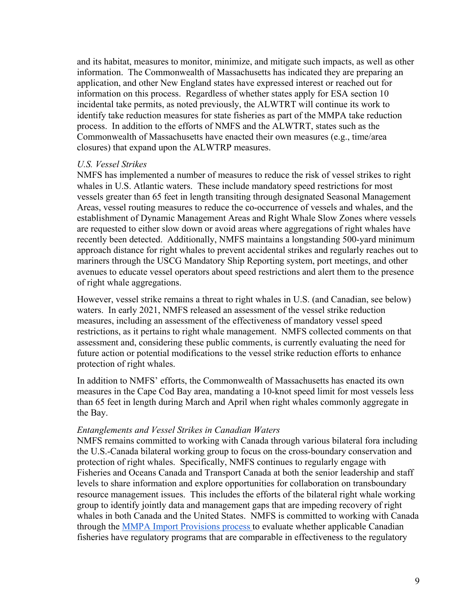and its habitat, measures to monitor, minimize, and mitigate such impacts, as well as other information. The Commonwealth of Massachusetts has indicated they are preparing an application, and other New England states have expressed interest or reached out for information on this process. Regardless of whether states apply for ESA section 10 incidental take permits, as noted previously, the ALWTRT will continue its work to identify take reduction measures for state fisheries as part of the MMPA take reduction process. In addition to the efforts of NMFS and the ALWTRT, states such as the Commonwealth of Massachusetts have enacted their own measures (e.g., time/area closures) that expand upon the ALWTRP measures.

#### *U.S. Vessel Strikes*

NMFS has implemented a number of measures to reduce the risk of vessel strikes to right whales in U.S. Atlantic waters. These include mandatory speed restrictions for most vessels greater than 65 feet in length transiting through designated Seasonal Management Areas, vessel routing measures to reduce the co-occurrence of vessels and whales, and the establishment of Dynamic Management Areas and Right Whale Slow Zones where vessels are requested to either slow down or avoid areas where aggregations of right whales have recently been detected. Additionally, NMFS maintains a longstanding 500-yard minimum approach distance for right whales to prevent accidental strikes and regularly reaches out to mariners through the USCG Mandatory Ship Reporting system, port meetings, and other avenues to educate vessel operators about speed restrictions and alert them to the presence of right whale aggregations.

However, vessel strike remains a threat to right whales in U.S. (and Canadian, see below) waters. In early 2021, NMFS released an assessment of the vessel strike reduction measures, including an assessment of the effectiveness of mandatory vessel speed restrictions, as it pertains to right whale management. NMFS collected comments on that assessment and, considering these public comments, is currently evaluating the need for future action or potential modifications to the vessel strike reduction efforts to enhance protection of right whales.

In addition to NMFS' efforts, the Commonwealth of Massachusetts has enacted its own measures in the Cape Cod Bay area, mandating a 10-knot speed limit for most vessels less than 65 feet in length during March and April when right whales commonly aggregate in the Bay.

#### *Entanglements and Vessel Strikes in Canadian Waters*

NMFS remains committed to working with Canada through various bilateral fora including the U.S.-Canada bilateral working group to focus on the cross-boundary conservation and protection of right whales. Specifically, NMFS continues to regularly engage with Fisheries and Oceans Canada and Transport Canada at both the senior leadership and staff levels to share information and explore opportunities for collaboration on transboundary resource management issues. This includes the efforts of the bilateral right whale working group to identify jointly data and management gaps that are impeding recovery of right whales in both Canada and the United States. NMFS is committed to working with Canada through the [MMPA Import Provisions process t](https://www.fisheries.noaa.gov/foreign/marine-mammal-protection/noaa-fisheries-establishes-international-marine-mammal-bycatch-criteria-us-imports)o evaluate whether applicable Canadian fisheries have regulatory programs that are comparable in effectiveness to the regulatory